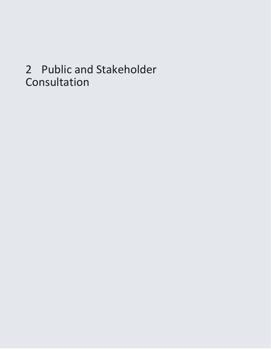# 2 Public and Stakeholder Consultation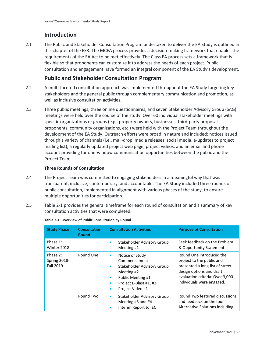# **Introduction**

2.1 The Public and Stakeholder Consultation Program undertaken to deliver the EA Study is outlined in this chapter of the ESR. The MCEA process provides a decision-making framework that enables the requirements of the EA Act to be met effectively. The Class EA process sets a framework that is flexible so that proponents can customize it to address the needs of each project. Public consultation and engagement have formed an integral component of the EA Study's development.

# **Public and Stakeholder Consultation Program**

- 2.2 A multi-faceted consultation approach was implemented throughout the EA Study targeting key stakeholders and the general public through complementary communication and promotion, as well as inclusive consultation activities.
- proponents, community organizations, etc.) were held with the Project Team throughout the 2.3 Three public meetings, three online questionnaires, and seven Stakeholder Advisory Group (SAG) meetings were held over the course of the study. Over 60 individual stakeholder meetings with specific organizations or groups (e.g., property owners, businesses, third-party proposal development of the EA Study. Outreach efforts were broad in nature and included: notices issued through a variety of channels (i.e., mail-drop, media releases, social media, e-updates to project mailing list), a regularly updated project web page, project videos, and an email and phone account providing for one-window communication opportunities between the public and the Project Team.

# **Three Rounds of Consultation**

- 2.4 The Project Team was committed to engaging stakeholders in a meaningful way that was transparent, inclusive, contemporary, and accountable. The EA Study included three rounds of public consultation, implemented in alignment with various phases of the study, to ensure multiple opportunities for participation.
- 2.5 [Table 2-1](#page-1-0) provides the general timeframe for each round of consultation and a summary of key consultation activities that were completed.

| <b>Study Phase</b>                                                                                                                                                                                                                     | <b>Consultation</b><br><b>Round</b>                  | <b>Consultation Activities</b>                                                                                                                                                       | <b>Purpose of Consultation</b>                                                                |
|----------------------------------------------------------------------------------------------------------------------------------------------------------------------------------------------------------------------------------------|------------------------------------------------------|--------------------------------------------------------------------------------------------------------------------------------------------------------------------------------------|-----------------------------------------------------------------------------------------------|
| Phase 1:<br>Winter 2018                                                                                                                                                                                                                |                                                      | Stakeholder Advisory Group<br>٠<br>Meeting #1                                                                                                                                        | Seek feedback on the Problem<br>& Opportunity Statement                                       |
| Round One<br>Phase 2:<br>Notice of Study<br>$\bullet$<br>Spring 2018-<br>Commencement<br><b>Fall 2019</b><br>$\bullet$<br>Meeting #2<br>Public Meeting #1<br>$\bullet$<br>$\bullet$<br>Project Video #1<br>٠<br>Round Two<br>$\bullet$ | Stakeholder Advisory Group<br>Project E-Blast #1, #2 | Round One introduced the<br>project to the public and<br>presented a long-list of street<br>design options and draft<br>evaluation criteria. Over 3,000<br>individuals were engaged. |                                                                                               |
|                                                                                                                                                                                                                                        |                                                      | Stakeholder Advisory Group<br>Meeting #3 and #4<br>Interim Report to IEC                                                                                                             | Round Two featured discussions<br>and feedback on the four<br>Alternative Solutions including |

## <span id="page-1-0"></span>**Table 2-1: Overview of Public Consultation by Round**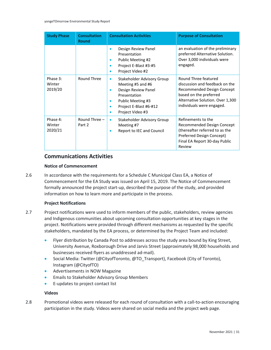| <b>Study Phase</b>            | <b>Consultation</b><br><b>Round</b> | <b>Consultation Activities</b>                                                                                                                                                                     | <b>Purpose of Consultation</b>                                                                                                                                                  |
|-------------------------------|-------------------------------------|----------------------------------------------------------------------------------------------------------------------------------------------------------------------------------------------------|---------------------------------------------------------------------------------------------------------------------------------------------------------------------------------|
|                               |                                     | Design Review Panel<br>۰<br>Presentation<br>Public Meeting #2<br>$\bullet$<br>Project E-Blast #3-#5<br>۰<br>Project Video #2<br>$\bullet$                                                          | an evaluation of the preliminary<br>preferred Alternative Solution.<br>Over 3,000 individuals were<br>engaged.                                                                  |
| Phase 3:<br>Winter<br>2019/20 | Round Three                         | Stakeholder Advisory Group<br>$\bullet$<br>Meeting #5 and #6<br>Design Review Panel<br>۰<br>Presentation<br>Public Meeting #3<br>$\bullet$<br>Project E-Blast #6-#12<br>۰<br>Project Video #3<br>۰ | Round Three featured<br>discussion and feedback on the<br>Recommended Design Concept<br>based on the preferred<br>Alternative Solution. Over 1,300<br>individuals were engaged. |
| Phase 4:<br>Winter<br>2020/21 | Round Three $-$<br>Part 2           | Stakeholder Advisory Group<br>$\bullet$<br>Meeting #7<br>Report to IEC and Council<br>۰                                                                                                            | Refinements to the<br>Recommended Design Concept<br>(thereafter referred to as the<br>Preferred Design Concept)<br>Final EA Report 30-day Public<br>Review                      |

# **Communications Activities**

# **Notice of Commencement**

 Commencement for the EA Study was issued on April 15, 2019. The Notice of Commencement 2.6 In accordance with the requirements for a Schedule C Municipal Class EA, a Notice of formally announced the project start-up, described the purpose of the study, and provided information on how to learn more and participate in the process.

# **Project Notifications**

- 2.7 Project notifications were used to inform members of the public, stakeholders, review agencies and Indigenous communities about upcoming consultation opportunities at key stages in the project. Notifications were provided through different mechanisms as requested by the specific stakeholders, mandated by the EA process, or determined by the Project Team and included:
	- Flyer distribution by Canada Post to addresses across the study area bound by King Street, University Avenue, Roxborough Drive and Jarvis Street (approximately 98,000 households and businesses received flyers as unaddressed ad-mail).
	- Social Media: Twitter (@CityofToronto, @TO\_Transport), Facebook (City of Toronto), Instagram (@CityofTO)
	- Advertisements in NOW Magazine
	- Emails to Stakeholder Advisory Group Members
	- E-updates to project contact list

# **Videos**

 2.8 Promotional videos were released for each round of consultation with a call-to-action encouraging participation in the study. Videos were shared on social media and the project web page.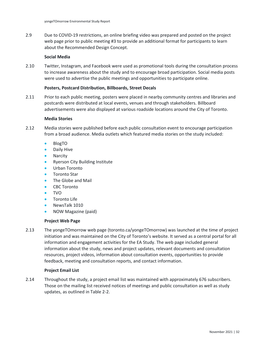2.9 Due to COVID-19 restrictions, an online briefing video was prepared and posted on the project web page prior to public meeting #3 to provide an additional format for participants to learn about the Recommended Design Concept.

## **Social Media**

2.10 Twitter, Instagram, and Facebook were used as promotional tools during the consultation process to increase awareness about the study and to encourage broad participation. Social media posts were used to advertise the public meetings and opportunities to participate online.

## **Posters, Postcard Distribution, Billboards, Street Decals**

 advertisements were also displayed at various roadside locations around the City of Toronto. 2.11 Prior to each public meeting, posters were placed in nearby community centres and libraries and postcards were distributed at local events, venues and through stakeholders. Billboard

## **Media Stories**

- 2.12 Media stories were published before each public consultation event to encourage participation from a broad audience. Media outlets which featured media stories on the study included:
	- BlogTO
	- Daily Hive
	- **Narcity**
	- Ryerson City Building Institute
	- Urban Toronto
	- Toronto Star
	- The Globe and Mail
	- **CBC Toronto**
	- TVO
	- Toronto Life
	- NewsTalk 1010
	- NOW Magazine (paid)

## **Project Web Page**

 initiation and was maintained on the City of Toronto's website. It served as a central portal for all 2.13 The yongeTOmorrow web page (toronto.ca/yongeTOmorrow) was launched at the time of project information and engagement activities for the EA Study. The web page included general information about the study, news and project updates, relevant documents and consultation resources, project videos, information about consultation events, opportunities to provide feedback, meeting and consultation reports, and contact information.

## **Project Email List**

2.14 Throughout the study, a project email list was maintained with approximately 676 subscribers. Those on the mailing list received notices of meetings and public consultation as well as study updates, as outlined i[n Table 2-2.](#page-4-0)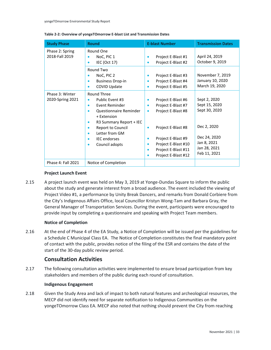| <b>Study Phase</b>                  | <b>Round</b>                                                                                                                                                                                                                    | <b>E-blast Number</b>                                                                                                                                                                           | <b>Transmission Dates</b>                                                                                    |
|-------------------------------------|---------------------------------------------------------------------------------------------------------------------------------------------------------------------------------------------------------------------------------|-------------------------------------------------------------------------------------------------------------------------------------------------------------------------------------------------|--------------------------------------------------------------------------------------------------------------|
| Phase 2: Spring<br>2018-Fall 2019   | Round One<br>NoC, PIC 1<br>٠<br>IEC (Oct 17)<br>٠                                                                                                                                                                               | Project E-Blast #1<br>٠<br>Project E-Blast #2<br>٠                                                                                                                                              | April 24, 2019<br>October 9, 2019                                                                            |
|                                     | Round Two<br>NoC, PIC 2<br><b>Business Drop-in</b><br><b>COVID Update</b>                                                                                                                                                       | Project E-Blast #3<br>٠<br>Project E-Blast #4<br>٠<br>Project E-Blast #5<br>٠                                                                                                                   | November 7, 2019<br>January 10, 2020<br>March 19, 2020                                                       |
| Phase 3: Winter<br>2020-Spring 2021 | Round Three<br>Public Event #3<br>۰<br>Event Reminder<br>٠<br>Questionnaire Reminder<br>+ Extension<br>R3 Summary Report + IEC<br><b>Report to Council</b><br>Letter from GM<br>۰<br><b>IEC</b> endorses<br>۰<br>Council adopts | Project E-Blast #6<br>$\bullet$<br>Project E-Blast #7<br>٠<br>Project E-Blast #8<br>۰<br>Project E-Blast #8<br>$\bullet$<br>Project E-Blast #9<br>$\bullet$<br>Project E-Blast #10<br>$\bullet$ | Sept 2, 2020<br>Sept 15, 2020<br>Sept 30, 2020<br>Dec 2, 2020<br>Dec 24, 2020<br>Jan 8, 2021<br>Jan 28, 2021 |
| <b>Phase 4: Fall 2021</b>           | Notice of Completion                                                                                                                                                                                                            | Project E-Blast #11<br>٠<br>Project E-Blast #12<br>٠                                                                                                                                            | Feb 11, 2021                                                                                                 |

#### <span id="page-4-0"></span>**Table 2-2: Overview of yongeTOmorrow E-blast List and Transmission Dates**

## **Project Launch Event**

2.15 A project launch event was held on May 3, 2019 at Yonge-Dundas Square to inform the public about the study and generate interest from a broad audience. The event included the viewing of Project Video #1, a performance by Unity Break Dancers, and remarks from Donald Corbiere from the City's Indigenous Affairs Office, local Councillor Kristyn Wong-Tam and Barbara Gray, the General Manager of Transportation Services. During the event, participants were encouraged to provide input by completing a questionnaire and speaking with Project Team members.

# **Notice of Completion**

 a Schedule C Municipal Class EA. The Notice of Completion constitutes the final mandatory point 2.16 At the end of Phase 4 of the EA Study, a Notice of Completion will be issued per the guidelines for of contact with the public, provides notice of the filing of the ESR and contains the date of the start of the 30-day public review period.

# **Consultation Activities**

2.17 The following consultation activities were implemented to ensure broad participation from key stakeholders and members of the public during each round of consultation.

## **Indigenous Engagement**

2.18 Given the Study Area and lack of impact to both natural features and archeological resources, the MECP did not identify need for separate notification to Indigenous Communities on the yongeTOmorrow Class EA. MECP also noted that nothing should prevent the City from reaching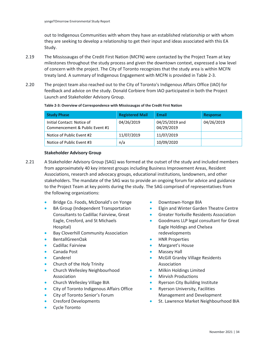out to Indigenous Communities with whom they have an established relationship or with whom they are seeking to develop a relationship to get their input and ideas associated with this EA Study.

- 2.19 The Mississaugas of the Credit First Nation (MCFN) were contacted by the Project Team at key milestones throughout the study process and given the downtown context, expressed a low level of concern with the project. The City of Toronto recognizes that the study area is within MCFN treaty land. A summary of Indigenous Engagement with MCFN is provided in [Table 2-3.](#page-5-0)
- feedback and advice on the study. Donald Corbiere from IAO participated in both the Project 2.20 The project team also reached out to the City of Toronto's Indigenous Affairs Office (IAO) for Launch and Stakeholder Advisory Group.

| <b>Study Phase</b>                                           | <b>Registered Mail</b> | <b>Email</b>                 | <b>Response</b> |
|--------------------------------------------------------------|------------------------|------------------------------|-----------------|
| Initial Contact: Notice of<br>Commencement & Public Event #1 | 04/26/2019             | 04/25/2019 and<br>04/29/2019 | 04/26/2019      |
| Notice of Public Event #2                                    | 11/07/2019             | 11/07/2019                   |                 |
| Notice of Public Event #3                                    | n/a                    | 10/09/2020                   |                 |

#### <span id="page-5-0"></span>**Table 2-3: Overview of Correspondence with Mississaugas of the Credit First Nation**

### **Stakeholder Advisory Group**

- Associations, research and advocacy groups, educational institutions, landowners, and other to the Project Team at key points during the study. The SAG comprised of representatives from 2.21 A Stakeholder Advisory Group (SAG) was formed at the outset of the study and included members from approximately 40 key interest groups including Business Improvement Areas, Resident stakeholders. The mandate of the SAG was to provide an ongoing forum for advice and guidance the following organizations:
	- Bridge Co. Foods, McDonald's on Yonge
	- BA Group (Independent Transportation Consultants to Cadillac Fairview, Great Eagle, Cresford, and St Michaels Hospital)
	- Bay Cloverhill Community Association
	- BentallGreenOak
	- Cadillac Fairview
	- Canada Post
	- **Canderel**
	- Church of the Holy Trinity
	- Church Wellesley Neighbourhood Association
	- Church Wellesley Village BIA
	- City of Toronto Indigenous Affairs Office
	- City of Toronto Senior's Forum
	- Cresford Developments
	- Cycle Toronto
- Downtown-Yonge BIA
- Elgin and Winter Garden Theatre Centre
- Greater Yorkville Residents Association
- Goodmans LLP legal consultant for Great Eagle Holdings and Chelsea redevelopments
- HNR Properties
- Margaret's House
- Massey Hall
- McGill Granby Village Residents Association
- Milkin Holdings Limited
- Mirvish Productions
- Ryerson City Building Institute
- Ryerson University, Facilities Management and Development
- St. Lawrence Market Neighbourhood BIA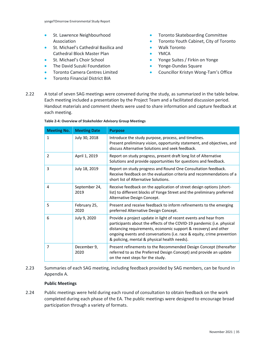- St. Lawrence Neighbourhood Association
- St. Michael's Cathedral Basilica and Cathedral Block Master Plan
- St. Michael's Choir School
- The David Suzuki Foundation
- Toronto Camera Centres Limited
- Toronto Financial District BIA
- Toronto Skateboarding Committee
- Toronto Youth Cabinet, City of Toronto
- Walk Toronto
- YMCA
- Yonge Suites / Firkin on Yonge
- Yonge-Dundas Square
- Councillor Kristyn Wong-Tam's Office
- 2.22 A total of seven SAG meetings were convened during the study, as summarized in the table below. Each meeting included a presentation by the Project Team and a facilitated discussion period. Handout materials and comment sheets were used to share information and capture feedback at each meeting.

| <b>Meeting No.</b> | <b>Meeting Date</b>   | <b>Purpose</b>                                                                                                                                                                                                                                                                                                                          |
|--------------------|-----------------------|-----------------------------------------------------------------------------------------------------------------------------------------------------------------------------------------------------------------------------------------------------------------------------------------------------------------------------------------|
| $\mathbf{1}$       | July 30, 2018         | Introduce the study purpose, process, and timelines.<br>Present preliminary vision, opportunity statement, and objectives, and<br>discuss Alternative Solutions and seek feedback.                                                                                                                                                      |
| 2                  | April 1, 2019         | Report on study progress, present draft long list of Alternative<br>Solutions and provide opportunities for questions and feedback.                                                                                                                                                                                                     |
| 3                  | July 18, 2019         | Report on study progress and Round One Consultation feedback.<br>Receive feedback on the evaluation criteria and recommendations of a<br>short list of Alternative Solutions.                                                                                                                                                           |
| 4                  | September 24,<br>2019 | Receive feedback on the application of street design options (short-<br>list) to different blocks of Yonge Street and the preliminary preferred<br>Alternative Design Concept.                                                                                                                                                          |
| 5                  | February 25,<br>2020  | Present and receive feedback to inform refinements to the emerging<br>preferred Alternative Design Concept.                                                                                                                                                                                                                             |
| 6                  | July 9, 2020          | Provide a project update in light of recent events and hear from<br>participants about the effects of the COVID-19 pandemic (i.e. physical<br>distancing requirements, economic support & recovery) and other<br>ongoing events and conversations (i.e. race & equity, crime prevention<br>& policing, mental & physical health needs). |
| 7                  | December 9,<br>2020   | Present refinements to the Recommended Design Concept (thereafter<br>referred to as the Preferred Design Concept) and provide an update<br>on the next steps for the study.                                                                                                                                                             |

**Table 2-4: Overview of Stakeholder Advisory Group Meetings** 

2.23 Summaries of each SAG meeting, including feedback provided by SAG members, can be found in Appendix A.

# **Public Meetings**

2.24 Public meetings were held during each round of consultation to obtain feedback on the work completed during each phase of the EA. The public meetings were designed to encourage broad participation through a variety of formats.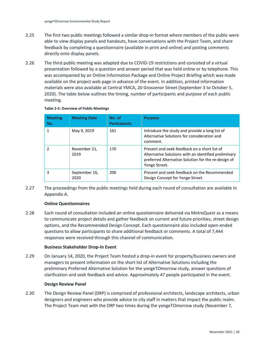- 2.25 The first two public meetings followed a similar drop-in format where members of the public were able to view display panels and handouts, have conversations with the Project Team, and share feedback by completing a questionnaire (available in print and online) and posting comments directly onto display panels.
- 2.26 The third public meeting was adapted due to COVID-19 restrictions and consisted of a virtual presentation followed by a question and answer period that was held online or by telephone. This was accompanied by an Online Information Package and Online Project Briefing which was made available on the project web page in advance of the event. In addition, printed information materials were also available at Central YMCA, 20 Grosvenor Street (September 3 to October 5, 2020). The table below outlines the timing, number of participants and purpose of each public meeting.

| <b>Meeting</b><br>No. | <b>Meeting Date</b>   | No. of<br><b>Participants</b> | <b>Purpose</b>                                                                                                                                                               |
|-----------------------|-----------------------|-------------------------------|------------------------------------------------------------------------------------------------------------------------------------------------------------------------------|
|                       | May 9, 2019           | 161                           | Introduce the study and provide a long list of<br>Alternative Solutions for consideration and<br>comment.                                                                    |
|                       | November 21,<br>2019  | 170                           | Present and seek feedback on a short list of<br>Alternative Solutions with an identified preliminary<br>preferred Alternative Solution for the re-design of<br>Yonge Street. |
| 3                     | September 16,<br>2020 | 206                           | Present and seek feedback on the Recommended<br>Design Concept for Yonge Street.                                                                                             |

## **Table 2-5: Overview of Public Meetings**

2.27 The proceedings from the public meetings held during each round of consultation are available in Appendix A.

# **Online Questionnaires**

2.28 Each round of consultation included an online questionnaire delivered via MetroQuest as a means to communicate project details and gather feedback on current and future priorities, street design options, and the Recommended Design Concept. Each questionnaire also included open-ended questions to allow participants to share additional feedback or comments. A total of 7,444 responses were received through this channel of communication.

# **Business Stakeholder Drop-In Event**

2.29 On January 14, 2020, the Project Team hosted a drop-in event for property/business owners and managers to present information on the short list of Alternative Solutions including the preliminary Preferred Alternative Solution for the yongeTOmorrow study, answer questions of clarification and seek feedback and advice. Approximately 47 people participated in the event.

# **Design Review Panel**

 The Project Team met with the DRP two times during the yongeTOmorrow study (November 7, 2.30 The Design Review Panel (DRP) is comprised of professional architects, landscape architects, urban designers and engineers who provide advice to city staff in matters that impact the public realm.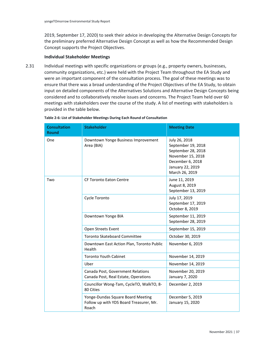2019, September 17, 2020) to seek their advice in developing the Alternative Design Concepts for the preliminary preferred Alternative Design Concept as well as how the Recommended Design Concept supports the Project Objectives.

## **Individual Stakeholder Meetings**

 ensure that there was a broad understanding of the Project Objectives of the EA Study, to obtain considered and to collaboratively resolve issues and concerns. The Project Team held over 60 2.31 Individual meetings with specific organizations or groups (e.g., property owners, businesses, community organizations, etc.) were held with the Project Team throughout the EA Study and were an important component of the consultation process. The goal of these meetings was to input on detailed components of the Alternatives Solutions and Alternative Design Concepts being meetings with stakeholders over the course of the study. A list of meetings with stakeholders is provided in the table below.

| <b>Consultation</b><br><b>Round</b> | <b>Stakeholder</b>                                                                    | <b>Meeting Date</b>                                                                                                                      |
|-------------------------------------|---------------------------------------------------------------------------------------|------------------------------------------------------------------------------------------------------------------------------------------|
| One                                 | Downtown Yonge Business Improvement<br>Area (BIA)                                     | July 26, 2018<br>September 19, 2018<br>September 28, 2018<br>November 15, 2018<br>December 6, 2018<br>January 22, 2019<br>March 26, 2019 |
| Two                                 | <b>CF Toronto Eaton Centre</b>                                                        | June 11, 2019<br>August 8, 2019<br>September 13, 2019                                                                                    |
|                                     | Cycle Toronto                                                                         | July 17, 2019<br>September 17, 2019<br>October 8, 2019                                                                                   |
|                                     | Downtown Yonge BIA                                                                    | September 11, 2019<br>September 28, 2019                                                                                                 |
|                                     | Open Streets Event                                                                    | September 15, 2019                                                                                                                       |
|                                     | <b>Toronto Skateboard Committee</b>                                                   | October 30, 2019                                                                                                                         |
|                                     | Downtown East Action Plan, Toronto Public<br>Health                                   | November 6, 2019                                                                                                                         |
|                                     | <b>Toronto Youth Cabinet</b>                                                          | November 14, 2019                                                                                                                        |
|                                     | Uber                                                                                  | November 14, 2019                                                                                                                        |
|                                     | Canada Post, Government Relations<br>Canada Post, Real Estate, Operations             | November 20, 2019<br>January 7, 2020                                                                                                     |
|                                     | Councillor Wong-Tam, CycleTO, WalkTO, 8-<br>80 Cities                                 | December 2, 2019                                                                                                                         |
|                                     | Yonge-Dundas Square Board Meeting<br>Follow up with YDS Board Treasurer, Mr.<br>Roach | December 5, 2019<br>January 15, 2020                                                                                                     |

**Table 2-6: List of Stakeholder Meetings During Each Round of Consultation**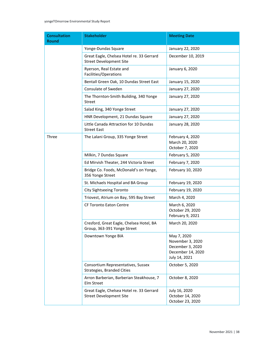### yongeTOmorrow Environmental Study Report

| <b>Consultation</b><br><b>Round</b> | <b>Stakeholder</b>                                                          | <b>Meeting Date</b>                                                                       |
|-------------------------------------|-----------------------------------------------------------------------------|-------------------------------------------------------------------------------------------|
|                                     | Yonge-Dundas Square                                                         | January 22, 2020                                                                          |
|                                     | Great Eagle, Chelsea Hotel re. 33 Gerrard<br><b>Street Development Site</b> | December 10, 2019                                                                         |
|                                     | Ryerson, Real Estate and<br>Facilities/Operations                           | January 6, 2020                                                                           |
|                                     | Bentall Green Oak, 10 Dundas Street East                                    | January 15, 2020                                                                          |
|                                     | Consulate of Sweden                                                         | January 27, 2020                                                                          |
|                                     | The Thornton-Smith Building, 340 Yonge<br>Street                            | January 27, 2020                                                                          |
|                                     | Salad King, 340 Yonge Street                                                | January 27, 2020                                                                          |
|                                     | HNR Development, 21 Dundas Square                                           | January 27, 2020                                                                          |
|                                     | Little Canada Attraction for 10 Dundas<br><b>Street East</b>                | January 28, 2020                                                                          |
| Three                               | The Lalani Group, 335 Yonge Street                                          | February 4, 2020<br>March 20, 2020<br>October 7, 2020                                     |
|                                     | Milkin, 7 Dundas Square                                                     | February 5, 2020                                                                          |
|                                     | Ed Mirvish Theater, 244 Victoria Street                                     | February 7, 2020                                                                          |
|                                     | Bridge Co. Foods, McDonald's on Yonge,<br>356 Yonge Street                  | February 10, 2020                                                                         |
|                                     | St. Michaels Hospital and BA Group                                          | February 19, 2020                                                                         |
|                                     | City Sightseeing Toronto                                                    | February 19, 2020                                                                         |
|                                     | Triovest, Atrium on Bay, 595 Bay Street                                     | March 4, 2020                                                                             |
|                                     | <b>CF Toronto Eaton Centre</b>                                              | March 6, 2020<br>October 29, 2020<br>February 9, 2021                                     |
|                                     | Cresford, Great Eagle, Chelsea Hotel, BA<br>Group, 363-391 Yonge Street     | March 20, 2020                                                                            |
|                                     | Downtown Yonge BIA                                                          | May 7, 2020<br>November 3, 2020<br>December 3, 2020<br>December 14, 2020<br>July 14, 2021 |
|                                     | Consortium Representatives, Sussex<br>Strategies, Branded Cities            | October 5, 2020                                                                           |
|                                     | Arron Barberian, Barberian Steakhouse, 7<br>Elm Street                      | October 8, 2020                                                                           |
|                                     | Great Eagle, Chelsea Hotel re. 33 Gerrard<br><b>Street Development Site</b> | July 16, 2020<br>October 14, 2020<br>October 23, 2020                                     |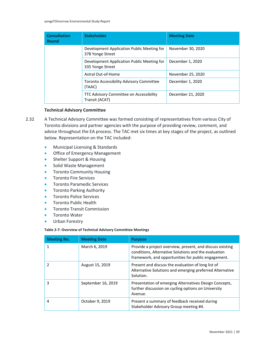| <b>Consultation</b><br><b>Round</b> | <b>Stakeholder</b>                                             | <b>Meeting Date</b> |
|-------------------------------------|----------------------------------------------------------------|---------------------|
|                                     | Development Application Public Meeting for<br>378 Yonge Street | November 30, 2020   |
|                                     | Development Application Public Meeting for<br>335 Yonge Street | December 1, 2020    |
|                                     | Astral Out-of-Home                                             | November 25, 2020   |
|                                     | Toronto Accessibility Advisory Committee<br>(TAAC)             | December 1, 2020    |
|                                     | TTC Advisory Committee on Accessibility<br>Transit (ACAT)      | December 21, 2020   |

# **Technical Advisory Committee**

- 2.32 A Technical Advisory Committee was formed consisting of representatives from various City of Toronto divisions and partner agencies with the purpose of providing review, comment, and advice throughout the EA process. The TAC met six times at key stages of the project, as outlined below. Representation on the TAC included:
	- Municipal Licensing & Standards
	- Office of Emergency Management
	- Shelter Support & Housing
	- Solid Waste Management
	- Toronto Community Housing
	- Toronto Fire Services
	- Toronto Paramedic Services
	- Toronto Parking Authority
	- Toronto Police Services
	- Toronto Public Health
	- Toronto Transit Commission
	- Toronto Water
	- Urban Forestry

#### **Table 2-7: Overview of Technical Advisory Committee Meetings**

| <b>Meeting No.</b> | <b>Meeting Date</b> | <b>Purpose</b>                                                                                                                                                           |
|--------------------|---------------------|--------------------------------------------------------------------------------------------------------------------------------------------------------------------------|
|                    | March 6, 2019       | Provide a project overview, present, and discuss existing<br>conditions, Alternative Solutions and the evaluation<br>framework, and opportunities for public engagement. |
|                    | August 15, 2019     | Present and discuss the evaluation of long list of<br>Alternative Solutions and emerging preferred Alternative<br>Solution.                                              |
| 3                  | September 16, 2019  | Presentation of emerging Alternatives Design Concepts,<br>further discussion on cycling options on University<br>Avenue.                                                 |
| 4                  | October 9, 2019     | Present a summary of feedback received during<br>Stakeholder Advisory Group meeting #4.                                                                                  |